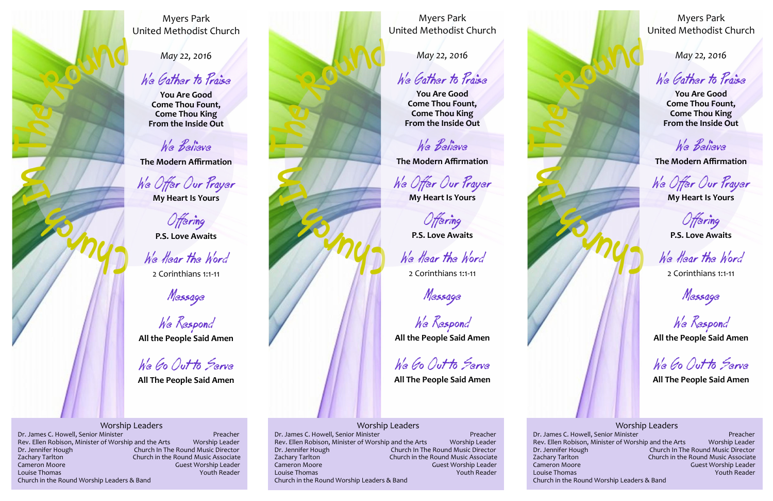

*May 22, 2016*

We Gather to Praise

**You Are Good Come Thou Fount, Come Thou King From the Inside Out**

We Believe

**The Modern Affirmation**

We Offer Our Prayer

**My Heart Is Yours**

**Offering** 

**P.S. Love Awaits**

We Hear the Word

2 Corinthians 1:1-11

Message

We Respond

**All the People Said Amen**

We Go Out to Serve

**All The People Said Amen**

Worship Leaders Dr. James C. Howell, Senior Minister<br>Rev. Ellen Robison, Minister of Worship and the Arts Worship Leader Rev. Ellen Robison, Minister of Worship and the Arts Dr. Jennifer Hough Church In The Round Music Director<br>
Zachary Tarlton Church in the Round Music Associate Church in the Round Music Associate Cameron Moore Guest Worship Leader Louise Thomas Youth Reader Church in the Round Worship Leaders & Band